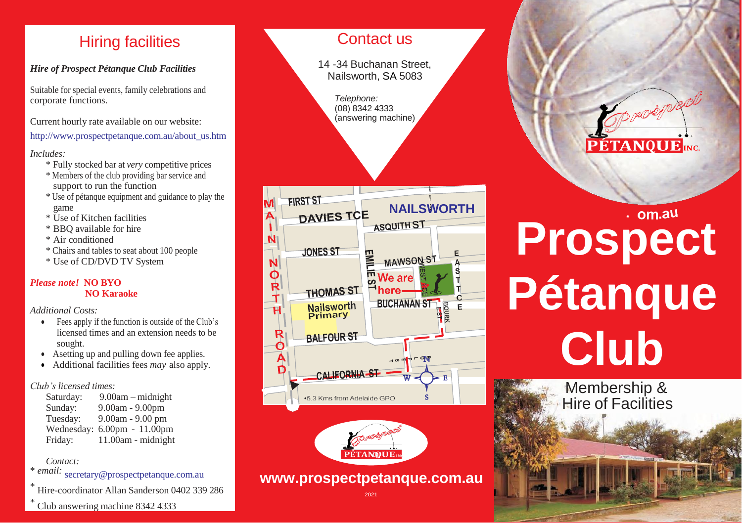## Hiring facilities

### *Hire of Prospect Pétanque Club Facilities*

Suitable for special events, family celebrations and corporate functions.

Current hourly rate available on our website:

[http://www.prospectpetanque.com.au/about\\_us.htm](http://www.prospectpetanque.com.au/about_us.htm)

#### *Includes:*

- \* Fully stocked bar at *very* competitive prices
- \* Members of the club providing bar service and support to run the function
- \* Use of pétanque equipment and guidance to play the game
- \* Use of Kitchen facilities
- \* BBQ available for hire
- \* Air conditioned
- \* Chairs and tables to seat about 100 people
- \* Use of CD/DVD TV System

### *Please note!* **NO BYO NO Karaoke**

*Additional Costs:*

- Fees apply if the function is outside of the Club's licensed times and an extension needs to be sought.
- Asetting up and pulling down fee applies.
- Additional facilities fees *may* also apply.

### *Club's licensed times:*

Saturday: 9.00am – midnight Sunday: 9.00am - 9.00pm Tuesday: 9.00am - 9.00 pm Wednesday: 6.00pm - 11.00pm Friday: 11.00am - midnight

### *Contact:*

\* *email:* [secretary@prospectpetanque.com.au](mailto:secretary@prospectpetanque.com.au)

Hire-coordinator Allan Sanderson 0402 339 286

Club answering machine 8342 4333

### Contact us

14 -34 Buchanan Street, Nailsworth, SA 5083

> *Telephone:* (08) 8342 4333 (answering machine)



**Prospect** 

**PÉTANQUE**<sub>INC.</sub>

**Pétanque** 

**Club**

Membership & **Hire of Facilities** 

### **[www.prospectpetanque.com.au](http://www.prospectpetanque.com.au/)**